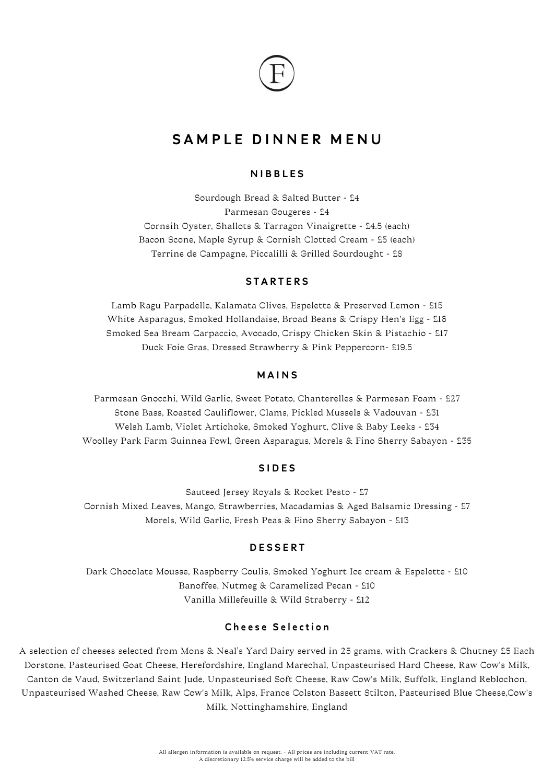

# SAMPLE DINNER MENU

# NIBBLES

Sourdough Bread & Salted Butter - £4 Parmesan Gougeres - £4 Cornsih Oyster, Shallots & Tarragon Vinaigrette - £4.5 (each) Bacon Scone, Maple Syrup & Cornish Clotted Cream - £5 (each) Terrine de Campagne, Piccalilli & Grilled Sourdought - £8

## **STARTERS**

Lamb Ragu Parpadelle, Kalamata Olives, Espelette & Preserved Lemon - £15 White Asparagus, Smoked Hollandaise, Broad Beans & Crispy Hen's Egg - £16 Smoked Sea Bream Carpaccio, Avocado, Crispy Chicken Skin & Pistachio - £17 Duck Foie Gras, Dressed Strawberry & Pink Peppercorn- £19.5

## MAINS

Parmesan Gnocchi, Wild Garlic, Sweet Potato, Chanterelles & Parmesan Foam - £27 Stone Bass, Roasted Cauliflower, Clams, Pickled Mussels & Vadouvan - £31 Welsh Lamb, Violet Artichoke, Smoked Yoghurt, Olive & Baby Leeks - £34 Woolley Park Farm Guinnea Fowl, Green Asparagus, Morels & Fino Sherry Sabayon - £35

#### SIDES

Sauteed Jersey Royals & Rocket Pesto - £7 Cornish Mixed Leaves, Mango, Strawberries, Macadamias & Aged Balsamic Dressing - £7 Morels, Wild Garlic, Fresh Peas & Fino Sherry Sabayon - £13

# DESSERT

Dark Chocolate Mousse, Raspberry Coulis, Smoked Yoghurt Ice cream & Espelette - £10 Banoffee, Nutmeg & Caramelized Pecan - £10 Vanilla Millefeuille & Wild Straberry - £12

## Cheese Selection

A selection of cheeses selected from Mons & Neal's Yard Dairy served in 25 grams, with Crackers & Chutney £5 Each Dorstone, Pasteurised Goat Cheese, Herefordshire, England Marechal, Unpasteurised Hard Cheese, Raw Cow's Milk, Canton de Vaud, Switzerland Saint Jude, Unpasteurised Soft Cheese, Raw Cow's Milk, Suffolk, England Reblochon, Unpasteurised Washed Cheese, Raw Cow's Milk, Alps, France Colston Bassett Stilton, Pasteurised Blue Cheese,Cow's Milk, Nottinghamshire, England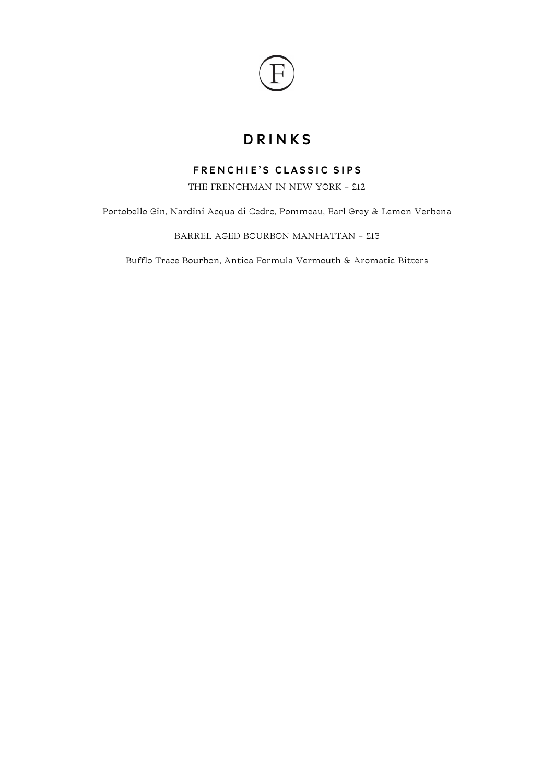

# DRINKS

# FRENCHIE'S CLASSIC SIPS

THE FRENCHMAN IN NEW YORK - £12

Portobello Gin, Nardini Acqua di Cedro, Pommeau, Earl Grey & Lemon Verbena

BARREL AGED BOURBON MANHATTAN – £13

Bufflo Trace Bourbon, Antica Formula Vermouth & Aromatic Bitters